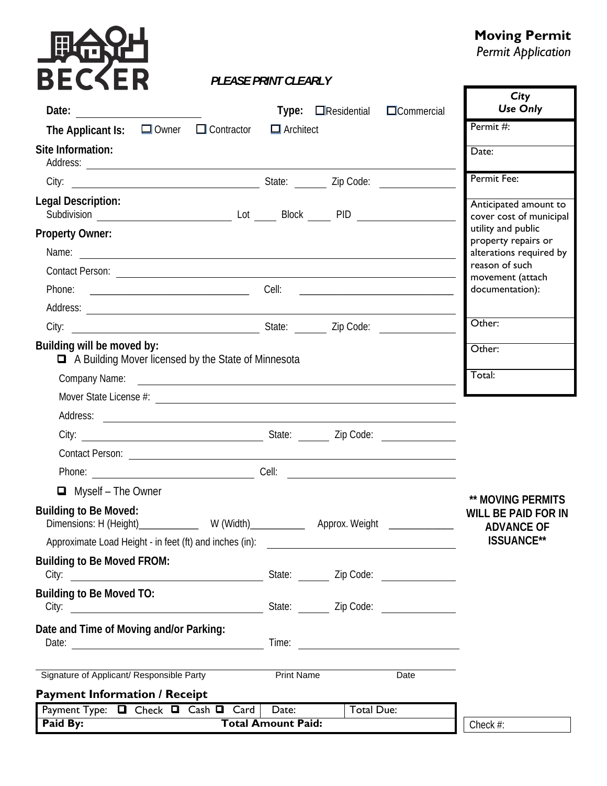# **DIGOT**

#### **Moving Permit**

*Permit Application* 

Г

7

#### *PLEASE PRINT CLEARLY*

| Date:                                                                                                                                                                                                                                                          |                           | <b>Type:</b> $\Box$ Residential               | $\Box$ Commercial                       | City<br><b>Use Only</b>                                              |
|----------------------------------------------------------------------------------------------------------------------------------------------------------------------------------------------------------------------------------------------------------------|---------------------------|-----------------------------------------------|-----------------------------------------|----------------------------------------------------------------------|
| $\Box$ Owner $\Box$ Contractor<br>The Applicant Is:                                                                                                                                                                                                            | $\Box$ Architect          |                                               |                                         | Permit #:                                                            |
| Site Information:                                                                                                                                                                                                                                              |                           |                                               |                                         | Date:                                                                |
| Code:<br>City:                                                                                                                                                                                                                                                 |                           |                                               |                                         | Permit Fee:                                                          |
| <b>Legal Description:</b>                                                                                                                                                                                                                                      |                           |                                               |                                         | Anticipated amount to<br>cover cost of municipal                     |
| <b>Property Owner:</b><br>Name: <u>example and a series of the series of the series of the series of the series of the series of the series of the series of the series of the series of the series of the series of the series of the series of the serie</u> |                           |                                               |                                         | utility and public<br>property repairs or<br>alterations required by |
|                                                                                                                                                                                                                                                                |                           |                                               |                                         | reason of such<br>movement (attach                                   |
|                                                                                                                                                                                                                                                                |                           |                                               |                                         | documentation):                                                      |
| Address: <u>example and a series of the series of the series of the series of the series of the series of the series of the series of the series of the series of the series of the series of the series of the series of the se</u>                           |                           |                                               |                                         |                                                                      |
| City: City: City: City: City: City: City: City: City: City: City: City: City: City: City: City: City: City: City: City: City: City: City: City: City: City: City: City: City: City: City: City: City: City: City: City: City:                                  |                           |                                               |                                         | Other:                                                               |
| Building will be moved by:<br>A Building Mover licensed by the State of Minnesota                                                                                                                                                                              |                           |                                               |                                         | Other:                                                               |
| Company Name:<br><u> 1989 - Johann Barnett, fransk politik (d. 1989)</u>                                                                                                                                                                                       |                           |                                               |                                         | Total:                                                               |
|                                                                                                                                                                                                                                                                |                           |                                               |                                         |                                                                      |
| Address:<br><u> 1989 - Jan Samuel Barbara, martin da shekara tsara 1989 - An tsara 1989 - An tsara 1989 - An tsara 1989 - An</u>                                                                                                                               |                           |                                               |                                         |                                                                      |
|                                                                                                                                                                                                                                                                |                           |                                               |                                         |                                                                      |
|                                                                                                                                                                                                                                                                |                           |                                               |                                         |                                                                      |
|                                                                                                                                                                                                                                                                |                           |                                               |                                         |                                                                      |
| $\Box$ Myself - The Owner                                                                                                                                                                                                                                      |                           |                                               |                                         | <b>** MOVING PERMITS</b>                                             |
| <b>Building to Be Moved:</b>                                                                                                                                                                                                                                   |                           |                                               | Approx. Weight _______________          | <b>WILL BE PAID FOR IN</b><br><b>ADVANCE OF</b>                      |
| Approximate Load Height - in feet (ft) and inches (in):                                                                                                                                                                                                        |                           | <u> 1980 - Andrea Andrew Maria (h. 1980).</u> |                                         | <b>ISSUANCE**</b>                                                    |
| <b>Building to Be Moved FROM:</b>                                                                                                                                                                                                                              |                           |                                               | State: _______ Zip Code: ______________ |                                                                      |
| <b>Building to Be Moved TO:</b>                                                                                                                                                                                                                                |                           |                                               |                                         |                                                                      |
| Date and Time of Moving and/or Parking:                                                                                                                                                                                                                        |                           |                                               |                                         |                                                                      |
| Signature of Applicant/ Responsible Party                                                                                                                                                                                                                      | <b>Print Name</b>         |                                               | Date                                    |                                                                      |
| <b>Payment Information / Receipt</b><br>Payment Type: Q Check Q Cash Q Card                                                                                                                                                                                    | Date:                     | Total Due:                                    |                                         |                                                                      |
| Paid By:                                                                                                                                                                                                                                                       | <b>Total Amount Paid:</b> |                                               |                                         | Check #:                                                             |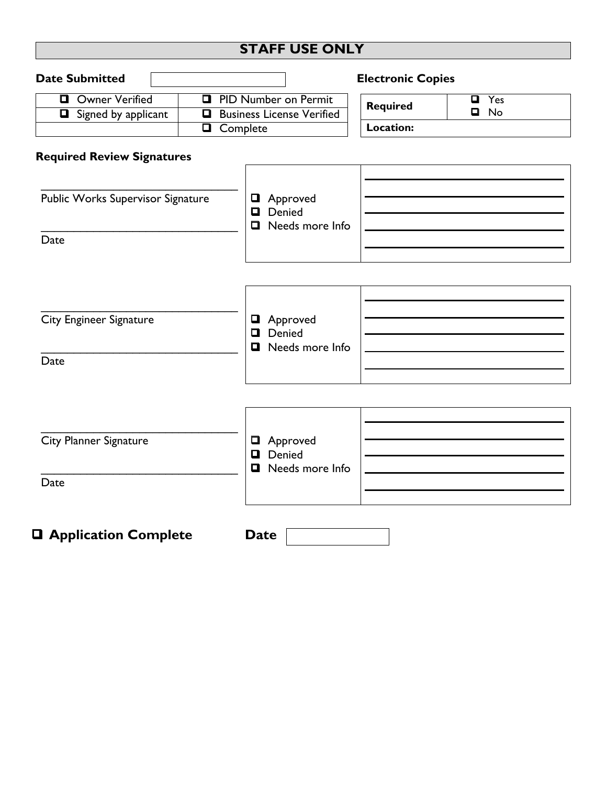### **STAFF USE ONLY**

| <b>Date Submitted</b>                                  |                                                                                                   |                                              | <b>Electronic Copies</b>     |                       |
|--------------------------------------------------------|---------------------------------------------------------------------------------------------------|----------------------------------------------|------------------------------|-----------------------|
| <b>Owner Verified</b><br>$\Box$<br>Signed by applicant | <b>PID Number on Permit</b><br>$\Box$<br><b>Business License Verified</b><br>$\Box$<br>□ Complete |                                              | <b>Required</b><br>Location: | Yes<br>О<br>$\Box$ No |
| <b>Required Review Signatures</b>                      |                                                                                                   |                                              |                              |                       |
| Public Works Supervisor Signature<br>Date              |                                                                                                   | Approved<br>Denied<br>$\Box$ Needs more Info |                              |                       |
|                                                        |                                                                                                   |                                              |                              |                       |
|                                                        |                                                                                                   |                                              |                              |                       |
| <b>City Engineer Signature</b>                         |                                                                                                   | Approved<br>Denied<br>$\Box$                 |                              |                       |
| Date                                                   |                                                                                                   | Needs more Info<br>$\Box$                    |                              |                       |
|                                                        |                                                                                                   |                                              |                              |                       |
| City Planner Signature                                 |                                                                                                   | Approved<br>$\Box$<br>Denied<br>❏            |                              |                       |
| Date                                                   |                                                                                                   | Needs more Info<br>□                         |                              |                       |